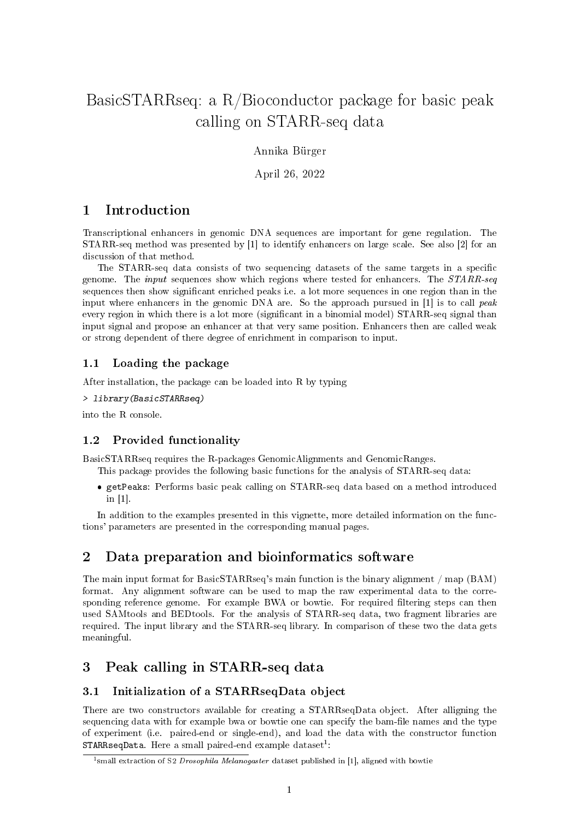# BasicSTARRseq: a R/Bioconductor package for basic peak calling on STARR-seq data

Annika Bürger

April 26, 2022

# 1 Introduction

Transcriptional enhancers in genomic DNA sequences are important for gene regulation. The STARR-seq method was presented by [1] to identify enhancers on large scale. See also [2] for an discussion of that method.

The STARR-seq data consists of two sequencing datasets of the same targets in a specific genome. The *input* sequences show which regions where tested for enhancers. The STARR-seq sequences then show signicant enriched peaks i.e. a lot more sequences in one region than in the input where enhancers in the genomic DNA are. So the approach pursued in  $[1]$  is to call peak every region in which there is a lot more (significant in a binomial model) STARR-seq signal than input signal and propose an enhancer at that very same position. Enhancers then are called weak or strong dependent of there degree of enrichment in comparison to input.

### 1.1 Loading the package

After installation, the package can be loaded into R by typing

```
> library(BasicSTARRseq)
```
into the R console.

#### 1.2 Provided functionality

BasicSTARRseq requires the R-packages GenomicAlignments and GenomicRanges.

- This package provides the following basic functions for the analysis of STARR-seq data:
	- getPeaks: Performs basic peak calling on STARR-seq data based on a method introduced in [1].

In addition to the examples presented in this vignette, more detailed information on the functions' parameters are presented in the corresponding manual pages.

## 2 Data preparation and bioinformatics software

The main input format for BasicSTARRseq's main function is the binary alignment / map (BAM) format. Any alignment software can be used to map the raw experimental data to the corresponding reference genome. For example BWA or bowtie. For required filtering steps can then used SAMtools and BEDtools. For the analysis of STARR-seq data, two fragment libraries are required. The input library and the STARR-seq library. In comparison of these two the data gets meaningful.

# 3 Peak calling in STARR-seq data

#### 3.1 Initialization of a STARRseqData object

There are two constructors available for creating a STARRseqData object. After alligning the sequencing data with for example bwa or bowtie one can specify the bam-file names and the type of experiment (i.e. paired-end or single-end), and load the data with the constructor function  $\texttt{STARRseqData}.$  Here a small paired-end example dataset<sup>1</sup>:

<sup>&</sup>lt;sup>1</sup> small extraction of S2 *Drosophila Melanogaster* dataset published in [1], aligned with bowtie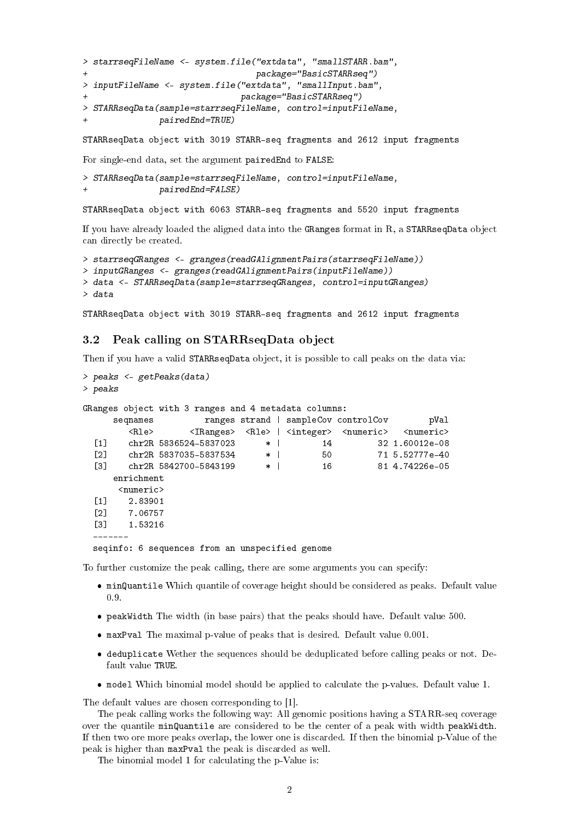```
> starrseqFileName <- system.file("extdata", "smallSTARR.bam",
+ package="BasicSTARRseq")
> inputFileName <- system.file("extdata", "smallInput.bam",
+ package="BasicSTARRseq")
> STARRseqData(sample=starrseqFileName, control=inputFileName,
+ pairedEnd=TRUE)
```
STARRseqData object with 3019 STARR-seq fragments and 2612 input fragments

For single-end data, set the argument pairedEnd to FALSE:

```
> STARRseqData(sample=starrseqFileName, control=inputFileName,
               pairedEnd=FALSE)
```
STARRseqData object with 6063 STARR-seq fragments and 5520 input fragments

If you have already loaded the aligned data into the GRanges format in R, a STARRseqData object can directly be created.

```
> starrseqGRanges <- granges(readGAlignmentPairs(starrseqFileName))
> inputGRanges <- granges(readGAlignmentPairs(inputFileName))
> data <- STARRseqData(sample=starrseqGRanges, control=inputGRanges)
> data
```
STARRseqData object with 3019 STARR-seq fragments and 2612 input fragments

#### 3.2 Peak calling on STARRseqData object

Then if you have a valid STARRseqData object, it is possible to call peaks on the data via:

```
> peaks <- getPeaks(data)
> peaks
GRanges object with 3 ranges and 4 metadata columns:
    seqnames ranges strand | sampleCov controlCov pVal
       <Rle> <IRanges> <Rle> | <integer> <numeric> <numeric>
 [1] chr2R 5836524-5837023 * | 14 32 1.60012e-08
 [2] chr2R 5837035-5837534 * | 50 71 5.52777e-40
 [3] chr2R 5842700-5843199 * | 16 81 4.74226e-05
    enrichment
     <numeric>
 [1] 2.83901
 [2] 7.06757
 [3] 1.53216
 -------
 seqinfo: 6 sequences from an unspecified genome
```
To further customize the peak calling, there are some arguments you can specify:

- minQuantile Which quantile of coverage height should be considered as peaks. Default value 0.9.
- peakWidth The width (in base pairs) that the peaks should have. Default value 500.
- maxPval The maximal p-value of peaks that is desired. Default value 0.001.
- deduplicate Wether the sequences should be deduplicated before calling peaks or not. Default value TRUE.
- model Which binomial model should be applied to calculate the p-values. Default value 1.

The default values are chosen corresponding to [1].

The peak calling works the following way: All genomic positions having a STARR-seq coverage over the quantile minQuantile are considered to be the center of a peak with width peakWidth. If then two ore more peaks overlap, the lower one is discarded. If then the binomial p-Value of the peak is higher than maxPval the peak is discarded as well.

The binomial model 1 for calculating the p-Value is: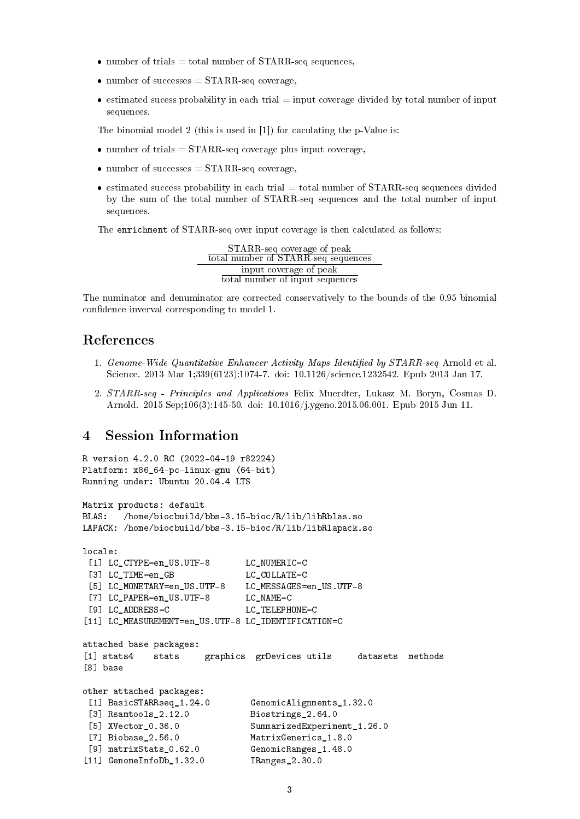- number of trials = total number of  $STARR$ -seq sequences,
- number of successes  $=$  STARR-seq coverage,
- $\bullet$  estimated sucess probability in each trial = input coverage divided by total number of input sequences.

The binomial model 2 (this is used in [1]) for caculating the p-Value is:

- number of trials  $=$  STARR-seq coverage plus input coverage,
- number of successes  $=$  STARR-seq coverage,
- $\bullet$  estimated success probability in each trial = total number of STARR-seq sequences divided by the sum of the total number of STARR-seq sequences and the total number of input sequences.

The enrichment of STARR-seq over input coverage is then calculated as follows:

STARR-seq coverage of peak total number of STARR-seq sequences input coverage of peak total number of input sequences

The numinator and denuminator are corrected conservatively to the bounds of the 0.95 binomial confidence inverval corresponding to model 1.

### References

- 1. Genome-Wide Quantitative Enhancer Activity Maps Identified by  $STARR-seq$  Arnold et al. Science. 2013 Mar 1;339(6123):1074-7. doi: 10.1126/science.1232542. Epub 2013 Jan 17.
- 2. STARR-seq Principles and Applications Felix Muerdter, Lukasz M. Boryn, Cosmas D. Arnold. 2015 Sep;106(3):145-50. doi: 10.1016/j.ygeno.2015.06.001. Epub 2015 Jun 11.

### 4 Session Information

```
R version 4.2.0 RC (2022-04-19 r82224)
Platform: x86_64-pc-linux-gnu (64-bit)
Running under: Ubuntu 20.04.4 LTS
Matrix products: default
BLAS: /home/biocbuild/bbs-3.15-bioc/R/lib/libRblas.so
LAPACK: /home/biocbuild/bbs-3.15-bioc/R/lib/libRlapack.so
locale:
 [1] LC CTYPE=en US.UTF-8 LC NUMERIC=C
 [3] LC_TIME=en_GB LC_COLLATE=C
 [5] LC_MONETARY=en_US.UTF-8 LC_MESSAGES=en_US.UTF-8
 [7] LC_PAPER=en_US.UTF-8 LC_NAME=C
 [9] LC_ADDRESS=C LC_TELEPHONE=C
[11] LC_MEASUREMENT=en_US.UTF-8 LC_IDENTIFICATION=C
attached base packages:
[1] stats4 stats graphics grDevices utils datasets methods
[8] base
other attached packages:
 [1] BasicSTARRseq_1.24.0 GenomicAlignments_1.32.0
 [3] Rsamtools_2.12.0 Biostrings_2.64.0
 [5] XVector_0.36.0 SummarizedExperiment_1.26.0
 [7] Biobase_2.56.0 MatrixGenerics_1.8.0
[9] matrixStats_0.62.0 GenomicRanges_1.48.0
[11] GenomeInfoDb_1.32.0 IRanges_2.30.0
```